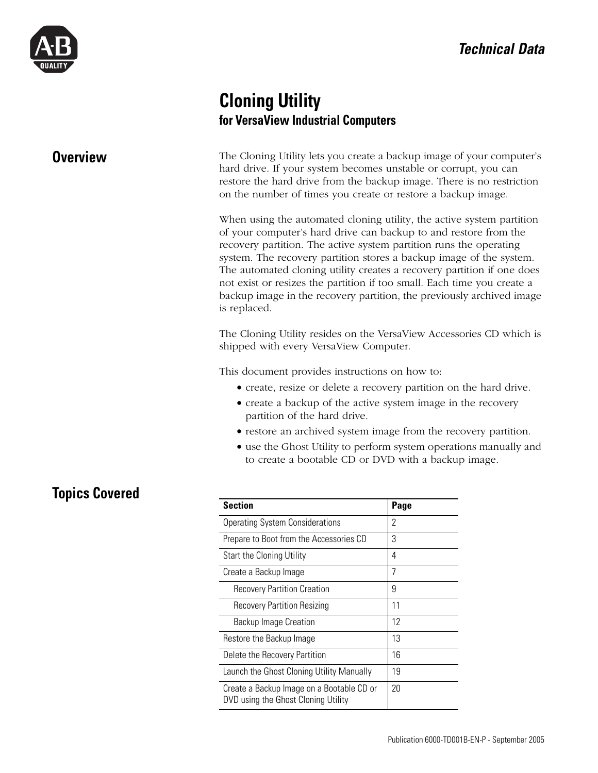

# **Cloning Utility for VersaView Industrial Computers**

**Overview** The Cloning Utility lets you create a backup image of your computer's hard drive. If your system becomes unstable or corrupt, you can restore the hard drive from the backup image. There is no restriction on the number of times you create or restore a backup image.

> When using the automated cloning utility, the active system partition of your computer's hard drive can backup to and restore from the recovery partition. The active system partition runs the operating system. The recovery partition stores a backup image of the system. The automated cloning utility creates a recovery partition if one does not exist or resizes the partition if too small. Each time you create a backup image in the recovery partition, the previously archived image is replaced.

> The Cloning Utility resides on the VersaView Accessories CD which is shipped with every VersaView Computer.

This document provides instructions on how to:

- create, resize or delete a recovery partition on the hard drive.
- create a backup of the active system image in the recovery partition of the hard drive.
- restore an archived system image from the recovery partition.
- use the Ghost Utility to perform system operations manually and to create a bootable CD or DVD with a backup image.

# **Topics Covered**

| <b>Section</b>                                                                   | Page |
|----------------------------------------------------------------------------------|------|
| <b>Operating System Considerations</b>                                           | 2    |
| Prepare to Boot from the Accessories CD                                          | 3    |
| Start the Cloning Utility                                                        | 4    |
| Create a Backup Image                                                            | 7    |
| <b>Recovery Partition Creation</b>                                               | 9    |
| <b>Recovery Partition Resizing</b>                                               | 11   |
| <b>Backup Image Creation</b>                                                     | 12   |
| Restore the Backup Image                                                         | 13   |
| Delete the Recovery Partition                                                    | 16   |
| Launch the Ghost Cloning Utility Manually                                        | 19   |
| Create a Backup Image on a Bootable CD or<br>DVD using the Ghost Cloning Utility | 20   |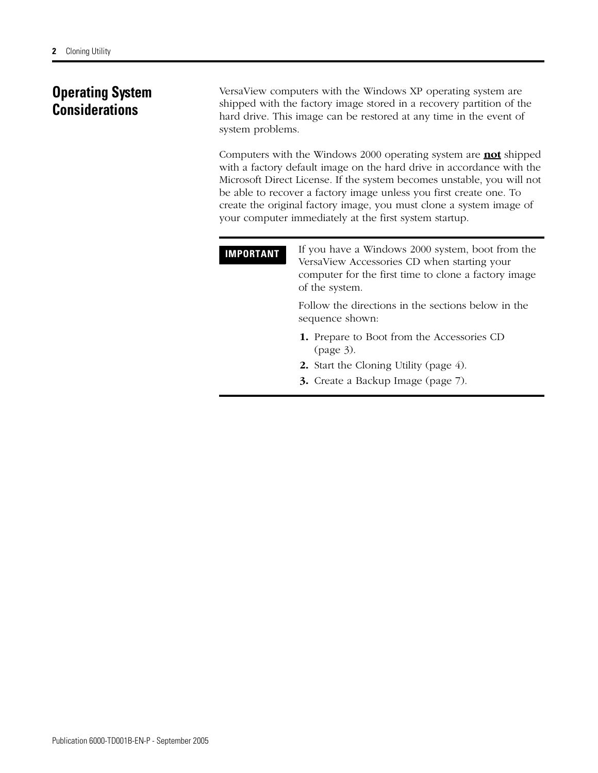# <span id="page-1-0"></span>**Operating System Considerations**

VersaView computers with the Windows XP operating system are shipped with the factory image stored in a recovery partition of the hard drive. This image can be restored at any time in the event of system problems.

Computers with the Windows 2000 operating system are **not** shipped with a factory default image on the hard drive in accordance with the Microsoft Direct License. If the system becomes unstable, you will not be able to recover a factory image unless you first create one. To create the original factory image, you must clone a system image of your computer immediately at the first system startup.

| <b>IMPORTANT</b> | If you have a Windows 2000 system, boot from the<br>VersaView Accessories CD when starting your<br>computer for the first time to clone a factory image<br>of the system. |
|------------------|---------------------------------------------------------------------------------------------------------------------------------------------------------------------------|
|                  | Follow the directions in the sections below in the<br>sequence shown:                                                                                                     |
|                  | <b>1.</b> Prepare to Boot from the Accessories CD<br>(page 3).                                                                                                            |
|                  | <b>2.</b> Start the Cloning Utility (page 4).                                                                                                                             |
|                  | <b>3.</b> Create a Backup Image (page 7).                                                                                                                                 |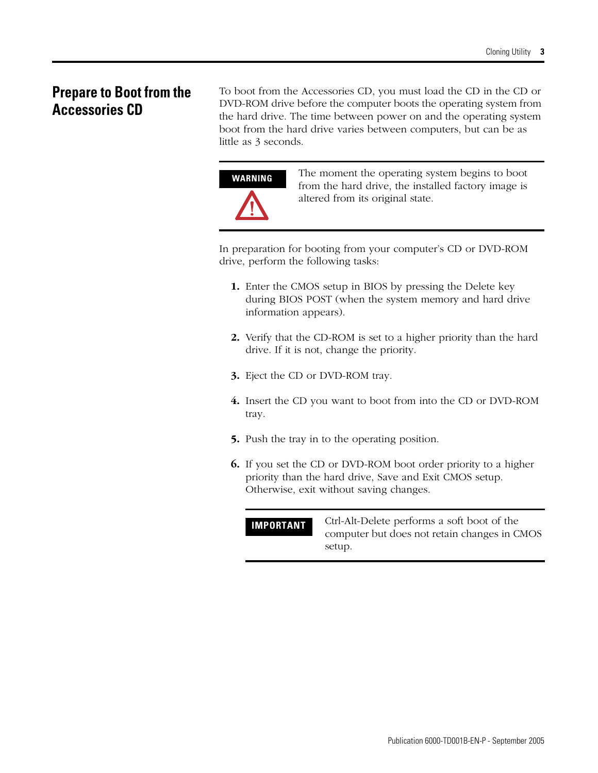# <span id="page-2-0"></span>**Prepare to Boot from the Accessories CD**

To boot from the Accessories CD, you must load the CD in the CD or DVD-ROM drive before the computer boots the operating system from the hard drive. The time between power on and the operating system boot from the hard drive varies between computers, but can be as little as 3 seconds.

**WARNING** The moment the operating system begins to boot from the hard drive, the installed factory image is altered from its original state.

In preparation for booting from your computer's CD or DVD-ROM drive, perform the following tasks:

- **1.** Enter the CMOS setup in BIOS by pressing the Delete key during BIOS POST (when the system memory and hard drive information appears).
- **2.** Verify that the CD-ROM is set to a higher priority than the hard drive. If it is not, change the priority.
- **3.** Eject the CD or DVD-ROM tray.
- **4.** Insert the CD you want to boot from into the CD or DVD-ROM tray.
- **5.** Push the tray in to the operating position.
- **6.** If you set the CD or DVD-ROM boot order priority to a higher priority than the hard drive, Save and Exit CMOS setup. Otherwise, exit without saving changes.

**IMPORTANT** Ctrl-Alt-Delete performs a soft boot of the computer but does not retain changes in CMOS setup.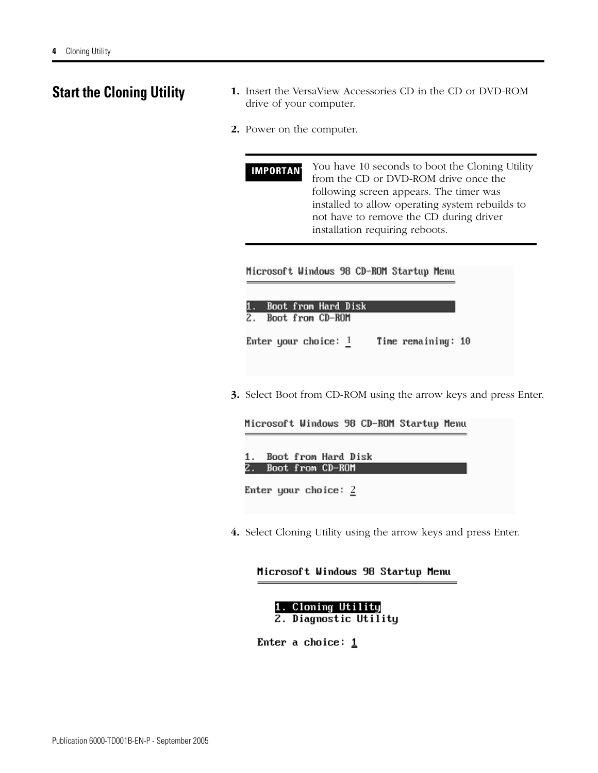- <span id="page-3-0"></span>**Start the Cloning Utility 1.** Insert the VersaView Accessories CD in the CD or DVD-ROM drive of your computer.
	- **2.** Power on the computer.

**IMPORTANT** You have 10 seconds to boot the Cloning Utility from the CD or DVD-ROM drive once the following screen appears. The timer was installed to allow operating system rebuilds to not have to remove the CD during driver installation requiring reboots.

Microsoft Windows 98 CD-ROM Startup Menu

|    |  | 1. Boot from Hard Disk |  |                    |  |
|----|--|------------------------|--|--------------------|--|
| 2. |  | Boot from CD-ROM       |  |                    |  |
|    |  | Enter your choice: $1$ |  | Time remaining: 10 |  |

**3.** Select Boot from CD-ROM using the arrow keys and press Enter.

Microsoft Windows 98 CD-ROM Startup Menu

|  | 1. Boot from Hard Disk |  |
|--|------------------------|--|
|  | 2. Boot from CD-ROM    |  |

Enter your choice: 2

**4.** Select Cloning Utility using the arrow keys and press Enter.

#### Microsoft Windows 98 Startup Menu

1. Cloning Utility 2. Diagnostic Utility

Enter a choice:  $1$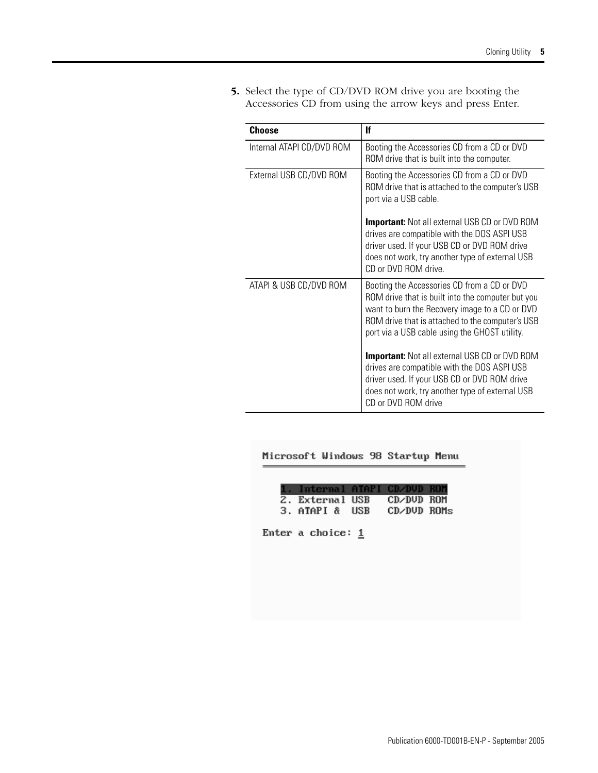**5.** Select the type of CD/DVD ROM drive you are booting the Accessories CD from using the arrow keys and press Enter.

| Choose                    | lf                                                                                                                                                                                                                                                      |
|---------------------------|---------------------------------------------------------------------------------------------------------------------------------------------------------------------------------------------------------------------------------------------------------|
| Internal ATAPI CD/DVD ROM | Booting the Accessories CD from a CD or DVD<br>ROM drive that is built into the computer.                                                                                                                                                               |
| External USB CD/DVD ROM   | Booting the Accessories CD from a CD or DVD<br>ROM drive that is attached to the computer's USB<br>port via a USB cable.                                                                                                                                |
|                           | <b>Important:</b> Not all external USB CD or DVD ROM<br>drives are compatible with the DOS ASPI USB<br>driver used. If your USB CD or DVD ROM drive<br>does not work, try another type of external USB<br>CD or DVD ROM drive.                          |
| ATAPI & USB CD/DVD ROM    | Booting the Accessories CD from a CD or DVD<br>ROM drive that is built into the computer but you<br>want to burn the Recovery image to a CD or DVD<br>ROM drive that is attached to the computer's USB<br>port via a USB cable using the GHOST utility. |
|                           | <b>Important:</b> Not all external USB CD or DVD ROM<br>drives are compatible with the DOS ASPI USB<br>driver used. If your USB CD or DVD ROM drive<br>does not work, try another type of external USB<br>CD or DVD ROM drive                           |

### Microsoft Windows 98 Startup Menu

| 1. Internal ATAPI CD/DVD ROM |             |  |
|------------------------------|-------------|--|
| 2. External USB              | CD/DUD ROM  |  |
| 3. ATAPI & USB               | CD/DUD ROMs |  |
|                              |             |  |
| Enter a choice: $1$          |             |  |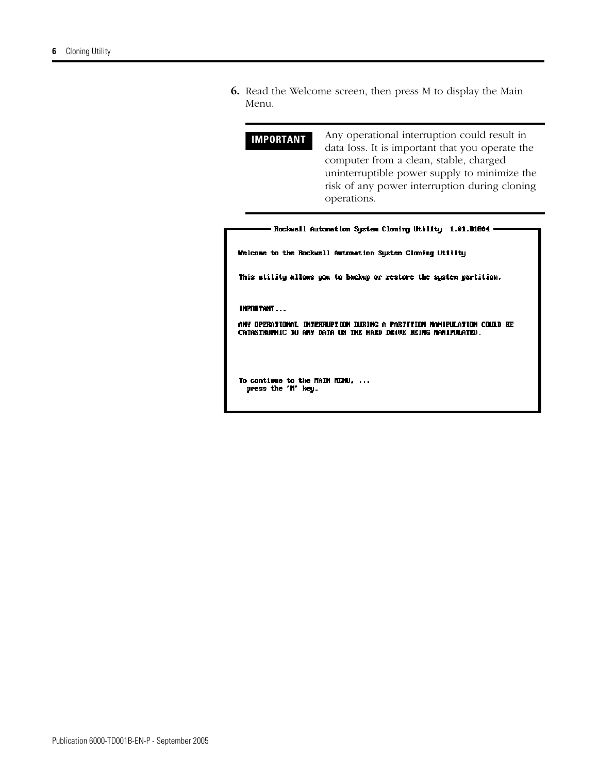**6.** Read the Welcome screen, then press M to display the Main Menu.

**IMPORTANT** Any operational interruption could result in data loss. It is important that you operate the computer from a clean, stable, charged uninterruptible power supply to minimize the risk of any power interruption during cloning operations.

| Welcome to the Rockwell Automation Sustem Cloning Utility          |
|--------------------------------------------------------------------|
| This utility allows you to backup or restore the system partition. |
| INPORTANT                                                          |

ANY OPERATIONAL INTERRUPTION DURING A PARTITION NAMIPULATION COULD BE CATASTROPHIC TO ANY DATA ON THE HARD DRIVE BEING NANIPULATED.

To continue to the MAIN MENU, ... press the 'M' key.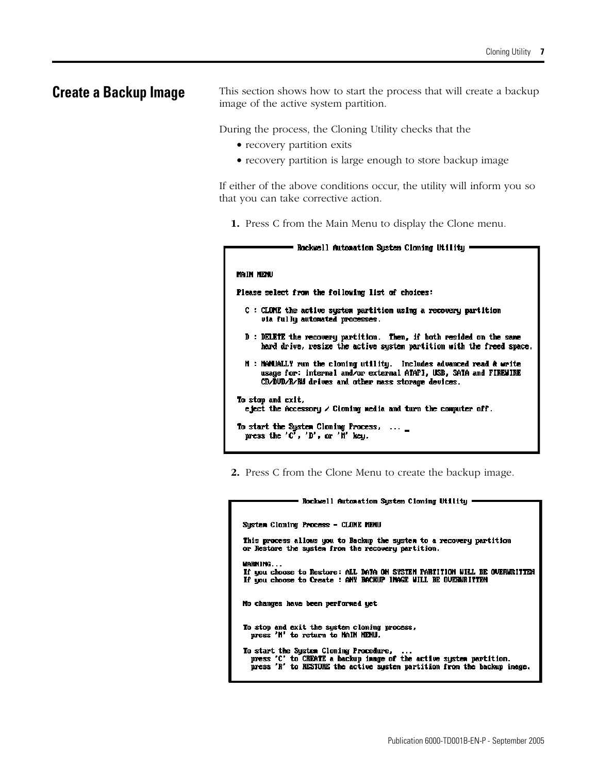<span id="page-6-0"></span>**Create a Backup Image** This section shows how to start the process that will create a backup image of the active system partition.

During the process, the Cloning Utility checks that the

- recovery partition exits
- recovery partition is large enough to store backup image

If either of the above conditions occur, the utility will inform you so that you can take corrective action.

**1.** Press C from the Main Menu to display the Clone menu.

| Rockwell Automation System Cloning Utility (                                                                                                                                                           |
|--------------------------------------------------------------------------------------------------------------------------------------------------------------------------------------------------------|
|                                                                                                                                                                                                        |
| main newu                                                                                                                                                                                              |
| Please select from the following list of choices:                                                                                                                                                      |
| C : CLOME the active system partition using a recovery partition<br>uia fully automated processes.                                                                                                     |
| D : DELETE the recovery partition. Then, if both resided on the same<br>hard drive, resize the active system partition with the freed space.                                                           |
| <b>N : MeMUALLY</b> run the cloning utility. Includes advanced read & write<br>usage for: internal and/or external ATAPI, USB, SATA and FIREWIRE<br>CD/DUD/R/RM drives and other mass storage devices. |
| To stop and exit,<br>eject the Accessory $\angle$ Cloning media and turn the computer off.                                                                                                             |
| To start the Sustem Cloning Process,<br>press the 'C', 'D', or 'M' key.                                                                                                                                |

**2.** Press C from the Clone Menu to create the backup image.

| Rockwell Automation Sustem Cloning Utility                                                                                                                                              |
|-----------------------------------------------------------------------------------------------------------------------------------------------------------------------------------------|
|                                                                                                                                                                                         |
| System Cloning Process - CLONE MENU                                                                                                                                                     |
| This process allows you to Backup the system to a recovery partition<br>or Restare the sustem from the recovery partition.                                                              |
| MARNING<br>If you choose to Restore: ALL DATA ON SYSTEM PARIITION WILL BE OVERWRITIEN<br>If you choose to Create : ANY BACKUP INAGE WILL BE OVERWRITTEN                                 |
| No changes have been performed yet                                                                                                                                                      |
| To stop and exit the system cloning process,<br>press 'M' to return to MAIN MENU.                                                                                                       |
| To start the Sustem Cloning Procedure,<br>press 'C' to CREATE a backup image of the active system partition.<br>press 'R' to RESTORE the active sustem partition from the backup image. |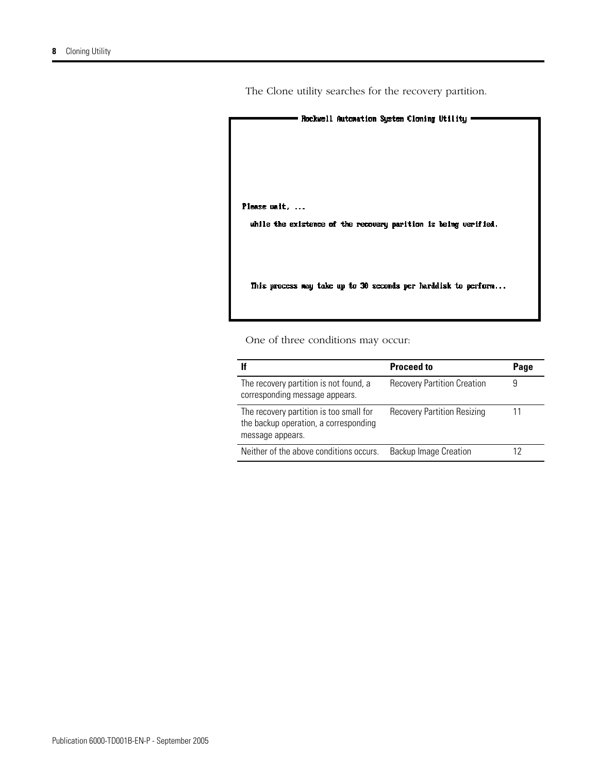- Rockwell Automation System Cloning Utility -Please wait, ... while the existence of the recovery parition is being verified. This process way take up to 30 seconds per harddisk to perform...

One of three conditions may occur:

|                                                                                                      | <b>Proceed to</b>                  | Page |
|------------------------------------------------------------------------------------------------------|------------------------------------|------|
| The recovery partition is not found, a<br>corresponding message appears.                             | <b>Recovery Partition Creation</b> | 9    |
| The recovery partition is too small for<br>the backup operation, a corresponding<br>message appears. | <b>Recovery Partition Resizing</b> | 11   |
| Neither of the above conditions occurs.                                                              | <b>Backup Image Creation</b>       |      |

The Clone utility searches for the recovery partition.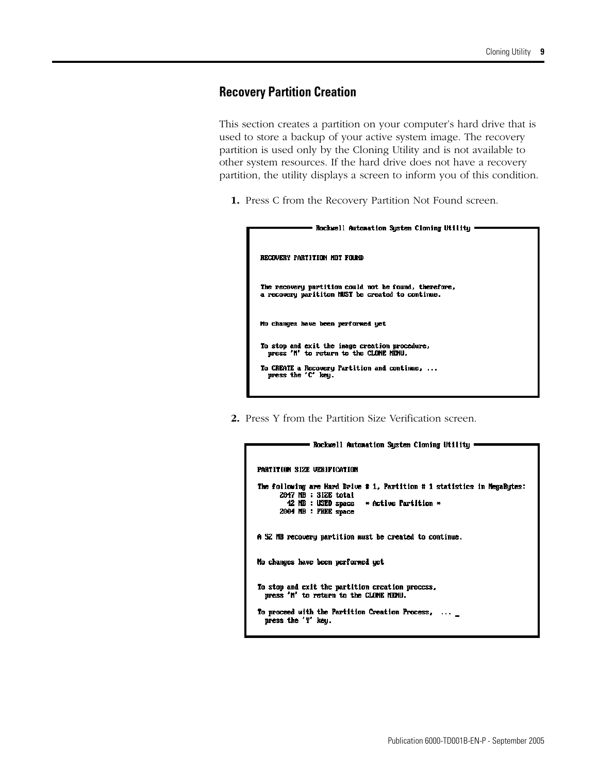## <span id="page-8-0"></span>**Recovery Partition Creation**

This section creates a partition on your computer's hard drive that is used to store a backup of your active system image. The recovery partition is used only by the Cloning Utility and is not available to other system resources. If the hard drive does not have a recovery partition, the utility displays a screen to inform you of this condition.

**1.** Press C from the Recovery Partition Not Found screen.

| Rockwell Automation System Cloning Utility                                                                 |
|------------------------------------------------------------------------------------------------------------|
| RECOUERY PARTITION NOT FOUND                                                                               |
| The recovery partition could not be found, therefore,<br>a recovery parititon MUST be created to continue. |
| No changes have been performed yet                                                                         |
| To stop and exit the image creation procedure,<br>press 'M' to return to the CLONE MENU.                   |
| To CREATE a Recovery Partition and continue,<br>press the 'C' keu.                                         |

**2.** Press Y from the Partition Size Verification screen.

| Rockwell Automation System Cloning Utility :                                                                                                                                  |  |
|-------------------------------------------------------------------------------------------------------------------------------------------------------------------------------|--|
| PARTITION SIZE UERIFICATION                                                                                                                                                   |  |
| The following are Hard Drive # 1, Partition # 1 statistics in MegaButes:<br>2047 MB : SIZE total<br>42 MB : USED space $\ast$ Active Partition $\ast$<br>2004 MB : FREE space |  |
| A 52 MB recovery partition must be created to continue.                                                                                                                       |  |
| No changes have been performed yet                                                                                                                                            |  |
| To stop and exit the partition creation process,<br>press 'M' to return to the CLONE MENU.                                                                                    |  |
| To proceed with the Partition Creation Process, $\dots$ $\_$<br>press the 'Y' key.                                                                                            |  |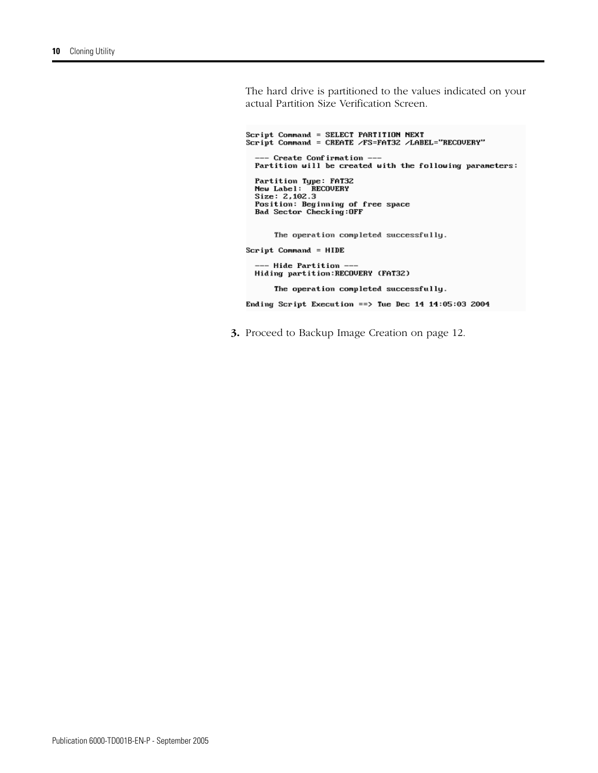The hard drive is partitioned to the values indicated on your actual Partition Size Verification Screen.

```
Script Command = SELECT PARTITION NEXT
Script Command = CREATE /FS=FAT32 /LABEL="RECOVERY"
  --- Create Confirmation --
  Partition will be created with the following parameters:
  Partition Type: FAT32<br>New Label: RECOVERY<br>Size: 2,102.3
  Position: Beginning of free space<br>Bad Sector Checking:OFF
       The operation completed successfully.
Script Command = HIDE
  --- Hide Partition ---
  Hiding partition: RECOVERY (FAT32)
```
The operation completed successfully.

Ending Script Execution == > Tue Dec 14  $14:05:03$  2004

**3.** Proceed to Backup Image Creation on page [12](#page-11-0).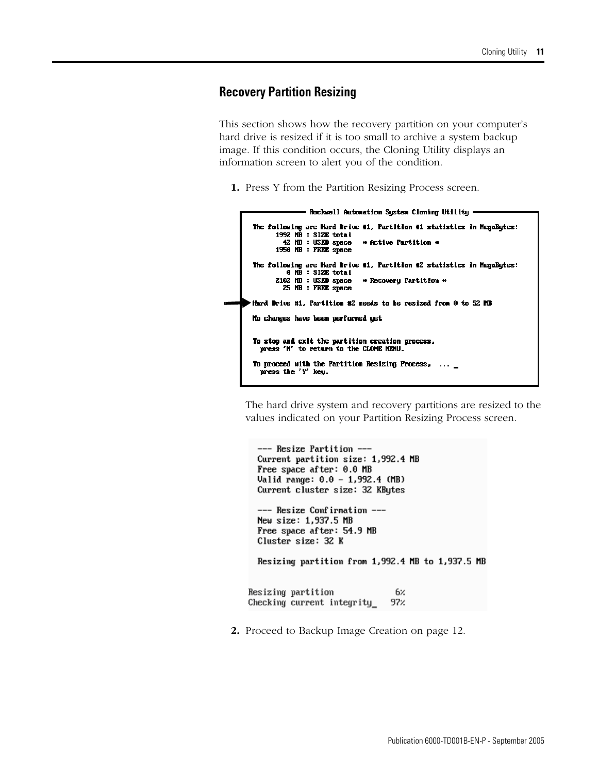## <span id="page-10-0"></span>**Recovery Partition Resizing**

This section shows how the recovery partition on your computer's hard drive is resized if it is too small to archive a system backup image. If this condition occurs, the Cloning Utility displays an information screen to alert you of the condition.

**1.** Press Y from the Partition Resizing Process screen.

```
- Rockwell Automation System Cloning Utility -
 The following are Hard Drive #1, Partition #1 statistics in MegaBytes:<br>1992 NB : SIZE total
           42 NB : USED space
                                       * Active Partition *
         1950 MB : FREE space
 The following are Hard Drive #1, Partition #2 statistics in MegaBytes:<br>
\theta MB : SIZE total<br>
2102 MB : USED space \rightarrow Recovery Partition \rightarrow25 NB : FREE space
Hard Drive #1, Partition #2 needs to be resized from 0 to 52 MB
 No changes have been performed yet
 To stop and exit the partition creation process,<br>press 'M' to return to the CLONE NENU.
 To proceed with the Partition Resizing Process, ...
    press the 'Y' key.
```
The hard drive system and recovery partitions are resized to the values indicated on your Partition Resizing Process screen.

```
--- Resize Partition ---
  Current partition size: 1,992.4 MB
  Free space after: 0.0 MB
  Valid range: 0.0 - 1,992.4 (MB)
  Current cluster size: 32 KBytes
  --- Resize Confirmation ---
  New size: 1,937.5 MB
  Free space after: 54.9 MB
  Cluster size: 32 K
  Resizing partition from 1,992.4 MB to 1,937.5 MB
Resizing partition
                               6%
                              97%
Checking current integrity
```
**2.** Proceed to Backup Image Creation on page [12](#page-11-0).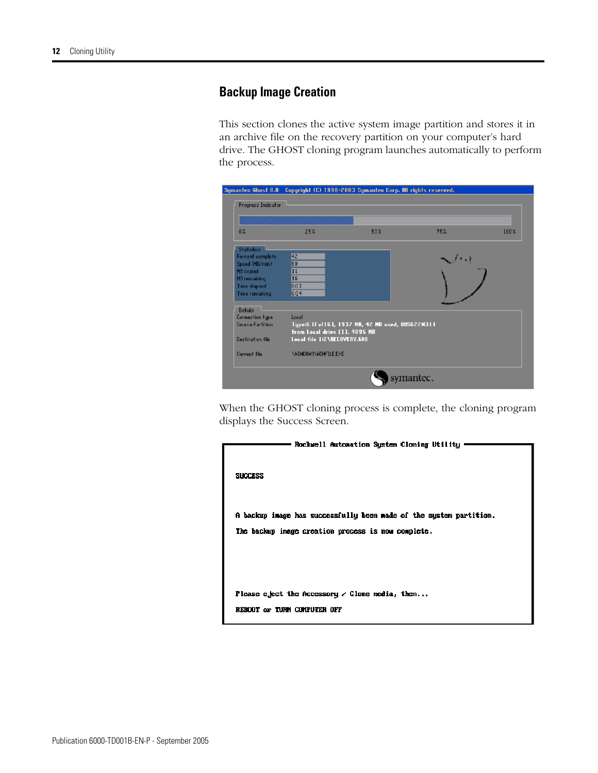## <span id="page-11-0"></span>**Backup Image Creation**

This section clones the active system image partition and stores it in an archive file on the recovery partition on your computer's hard drive. The GHOST cloning program launches automatically to perform the process.

|                         |                               | Symantec Ghost 8.0 Copyright (C) 1998-2003 Symantec Corp. All rights reserved. |     |      |
|-------------------------|-------------------------------|--------------------------------------------------------------------------------|-----|------|
| Progress Indicator      |                               |                                                                                |     |      |
|                         |                               |                                                                                |     |      |
| 0.7 <sub>o</sub>        | 25%                           | 50%                                                                            | 75% | 100% |
| Statistics              |                               |                                                                                |     |      |
| Percent complete        | 囮                             |                                                                                |     |      |
| Speed (MB/min)          | 60                            |                                                                                |     |      |
| MB copied               | п                             |                                                                                |     |      |
| MB remaining            | 16                            |                                                                                |     |      |
| Time elapsed            | 0:11                          |                                                                                |     |      |
| Time remaining          | 0:14                          |                                                                                |     |      |
| Details                 |                               |                                                                                |     |      |
| <b>Connection type</b>  | Local                         |                                                                                |     |      |
| <b>Source Partition</b> |                               | Type:6 [Fat16], 1937 MB, 42 MB used, DOS622M311                                |     |      |
|                         | from Local drive [1], 4095 MB |                                                                                |     |      |
| Destination file        | Local file 1:2\RECOVERY.GHO   |                                                                                |     |      |
| Current file            | \NINDOWS\WINFILE.EXE          |                                                                                |     |      |
|                         |                               |                                                                                |     |      |

When the GHOST cloning process is complete, the cloning program displays the Success Screen.

| Rockwell Automation System Cloning Utility                         |
|--------------------------------------------------------------------|
|                                                                    |
| <b>SUCCESS</b>                                                     |
|                                                                    |
|                                                                    |
| A backup image has successfully been made of the system partition. |
| The backup image creation process is now complete.                 |
|                                                                    |
|                                                                    |
|                                                                    |
| Please eject the Accessory $\angle$ Clone media, then              |
| REBOOT or TURN COMPUTER OFF                                        |
|                                                                    |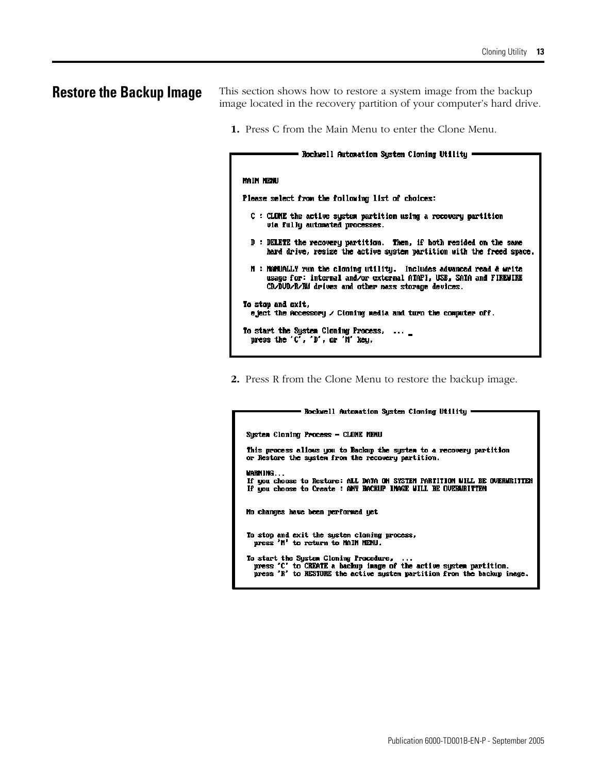<span id="page-12-0"></span>**Restore the Backup Image** This section shows how to restore a system image from the backup image located in the recovery partition of your computer's hard drive.

**1.** Press C from the Main Menu to enter the Clone Menu.

## - Rockwell Automation System Cloning Utility -**MAIN HENU** Please select from the following list of choices: C : CLOME the active system partition using a recovery partition via fully automated processes. D : DELETE the recovery partition. Then, if both resided on the same hard drive, resize the active system partition with the freed space. M : MANUALLY run the cloning utility. Includes advanced read & write usage for: internal and/or external ATAPI, USB, SATA and FIREMIRE CD/DUD/R/RM drives and other mass storage devices. To stop and exit. eject the Accessory  $\angle$  Cioning media and turn the computer off. To start the System Cloning Process, ... \_ press the 'C', 'D', or 'N' key.

**2.** Press R from the Clone Menu to restore the backup image.

## - Rockwell Automation System Cloning Utility -System Cloning Process - CLONE MENU This process allows you to Backup the system to a recovery partition or Restare the system from the recovery partition. MARNING. If you choose to Restore: ALL DATA ON SYSTEM PARTITION WILL BE OVERWRITTEN If you choose to Create : ANY BACKUP INAGE WILL BE OVERWRITTEN No changes have been performed yet To stop and exit the system cloning process,<br>press 'M' to return to MAIN MENU. To start the System Cloning Procedure, press 'C' to CREATE a backup image of the active system partition. press 'R' to RESTORE the active system partition from the backup image.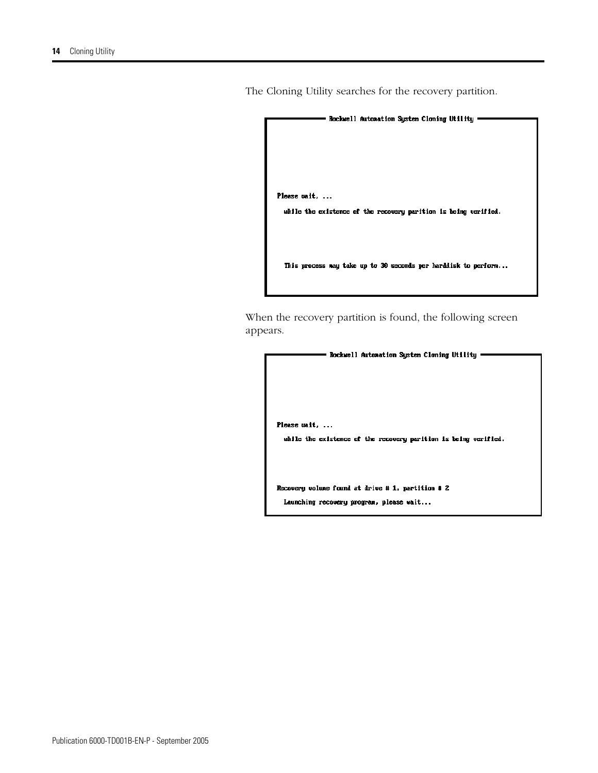- Rockwell Automation System Cloning Utility -Please wait, ... while the existence of the recovery parition is being verified. This process may take up to 30 seconds per harddisk to perform...

When the recovery partition is found, the following screen appears.

- Rockwell Automation System Cloning Utility • Please wait, ... while the existence of the recovery parition is being verified. Recovery volume found at drive # 1, partition # 2 Launching recovery program, please wait...

The Cloning Utility searches for the recovery partition.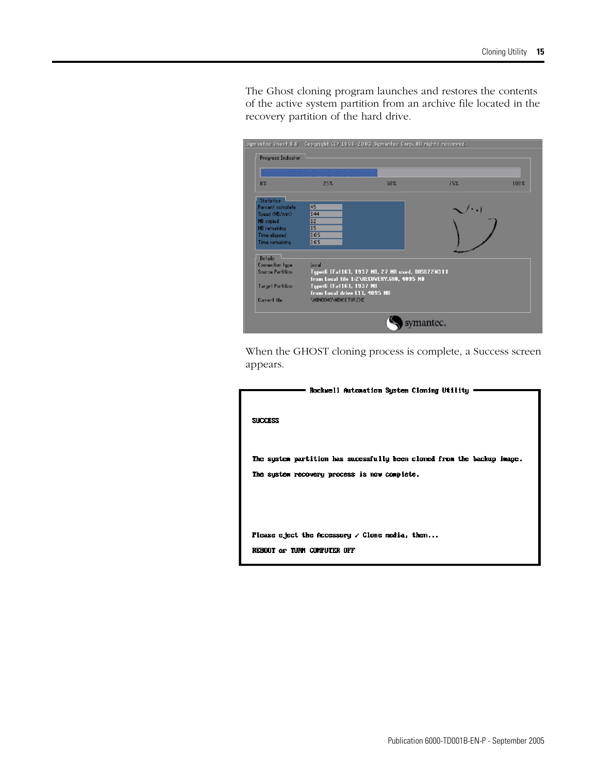Symantec Ghost 8.0 Copyright (C) 1998-2003 Symantec Corp. All rights reserved. Progress Indicator  $0\,\%$  $25\%$  $50\%$  $75%$  $100\%$ Statistics<br>Percent complete<br>Speed (MB/min)<br>MB copied<br>MB remaining<br>Time elapsed<br>Time remaining  $\frac{45}{144}$ ا - ا  $\frac{12}{15}$ <br> $\frac{15}{0.05}$ Details<br>Connection type<br>Source Partition Local<br>Type:6 [Fał16], 1937 MB, 27 MB used, DOS622M311<br>from Local fie 1:2\NECOVERY.6HO, 4095 MB<br>Type:6 [Fał16], 1937 MB<br>from Local drive [11, 4095 MB<br>\NINDOWS\NINSETUP.EXE Target Partition Current file symantec.

The Ghost cloning program launches and restores the contents of the active system partition from an archive file located in the recovery partition of the hard drive.

When the GHOST cloning process is complete, a Success screen appears.

| Rockwell Automation Sustem Cloning Utility                                                                              |
|-------------------------------------------------------------------------------------------------------------------------|
| <b>SUCCESS</b>                                                                                                          |
| The system partition has sucessfully been cloned from the backup image.<br>The sustem recovery process is now complete. |
| Please eject the Accessory $\angle$ Clone media, then<br>REBOOT or TURN COMPUTER OFF                                    |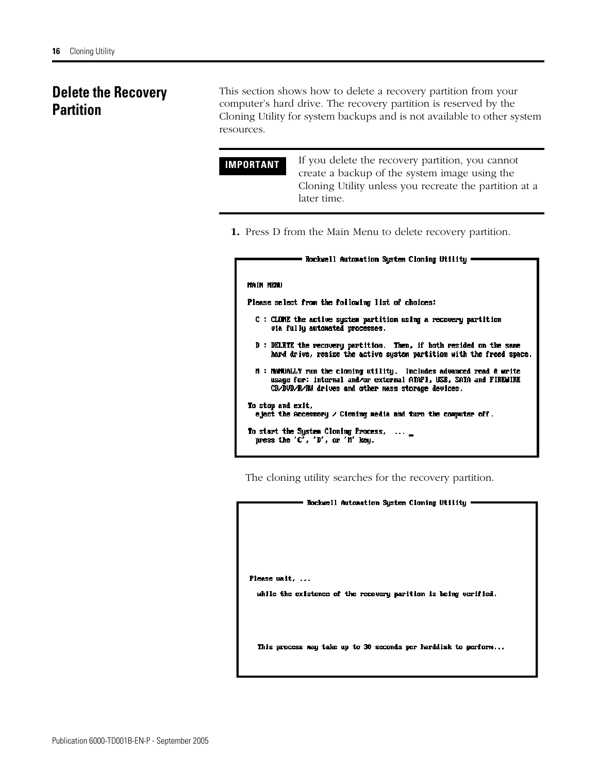# <span id="page-15-0"></span>**Delete the Recovery Partition**

This section shows how to delete a recovery partition from your computer's hard drive. The recovery partition is reserved by the Cloning Utility for system backups and is not available to other system resources.

**IMPORTANT** If you delete the recovery partition, you cannot create a backup of the system image using the Cloning Utility unless you recreate the partition at a later time.

**1.** Press D from the Main Menu to delete recovery partition.

|  | Rockwell Automation System Cloning Utility |  |  |
|--|--------------------------------------------|--|--|
|  |                                            |  |  |

#### **MAIN NEWU**

Please select from the following list of choices:

- C : CLOME the active system partition using a recovery partition uia fully automated processes.
- D : DELETE the recovery partition. Then, if both resided on the same hard drive, resize the active system partition with the freed space.
- N: MaNUALLY run the cloning utility. Includes advanced read & write usage for: internal and/or external ATAPI, USB, SATA and FIREMIRE CB/DUD/R/RM drives and other mass storage devices.

To stop and exit, eject the Accessory  $\angle$  Cioning media and turn the computer off.

To start the System Cloning Process, ... press the  $'C'$ ,  $'D'$ , or  $'R'$  key.

The cloning utility searches for the recovery partition.

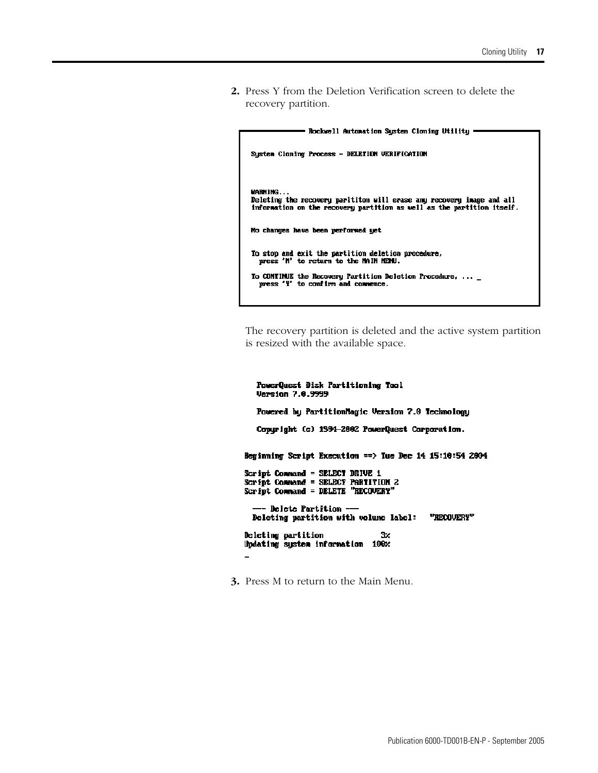**2.** Press Y from the Deletion Verification screen to delete the recovery partition.

| Rockwell Automation System Cloning Utility                                                                                                      |
|-------------------------------------------------------------------------------------------------------------------------------------------------|
|                                                                                                                                                 |
| Sustem Cloning Process - DELETION VERIFICATION                                                                                                  |
|                                                                                                                                                 |
| <b>MARNING</b>                                                                                                                                  |
| Deleting the recovery parititon will erase any recovery image and all<br>information on the recovery partition as well as the partition itself. |
| No changes have been performed yet                                                                                                              |
| To stop and exit the partition deletion procedure,<br>press 'M' to return to the MAIN NEWU.                                                     |
| To CONTINUE the Recovery Partition Deletion Procedure,<br>press 'Y' to confirm and commence.                                                    |
|                                                                                                                                                 |

The recovery partition is deleted and the active system partition is resized with the available space.

```
PowerQuest Disk Partitioning Tool
   Version 7.0.9999
   Powered by PartitionNagic Version 7.0 Technology
   Copyright (c) 1994-2002 PowerQuest Corporation.
Beginning Script Execution == > Tue Dec 14 15:10:54 2004
Script Connand = SELECT DRIVE 1
Script Command = SELECT PARTITION 2<br>Script Command = DELETE "RECOUERY"
  -- Delete Partition --
  Deleting partition with volume label: "RECOUERY"
Deleting partition
                                   3\!\timesUpdating system information 100x
\overline{\phantom{0}}
```
**3.** Press M to return to the Main Menu.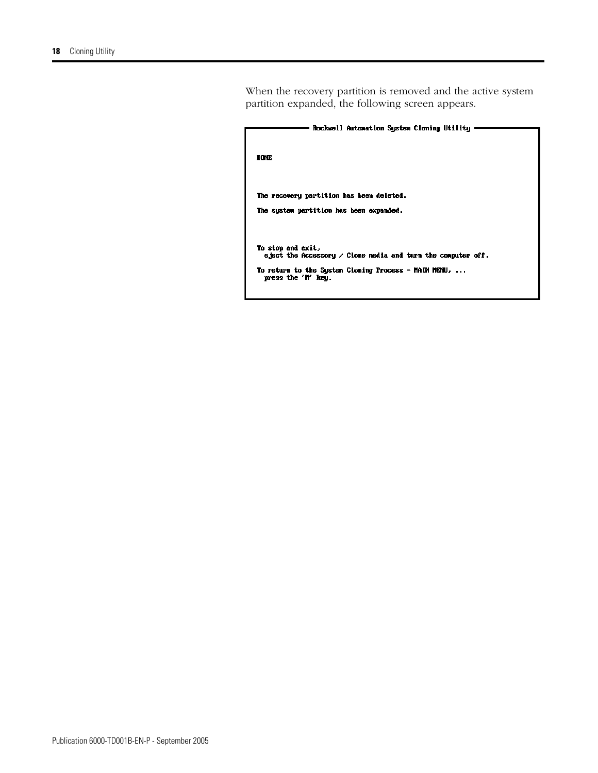When the recovery partition is removed and the active system partition expanded, the following screen appears.

| Rockwell Automation System Cloning Utility                                               |  |
|------------------------------------------------------------------------------------------|--|
| DONE                                                                                     |  |
| The recovery partition has been deleted.<br>The sustem partition has been expanded.      |  |
|                                                                                          |  |
| To stop and exit,<br>eject the Accessory $\angle$ Clone media and turn the computer off. |  |
| To return to the System Cloning Process - MAIN MENU,<br>press the 'M' key.               |  |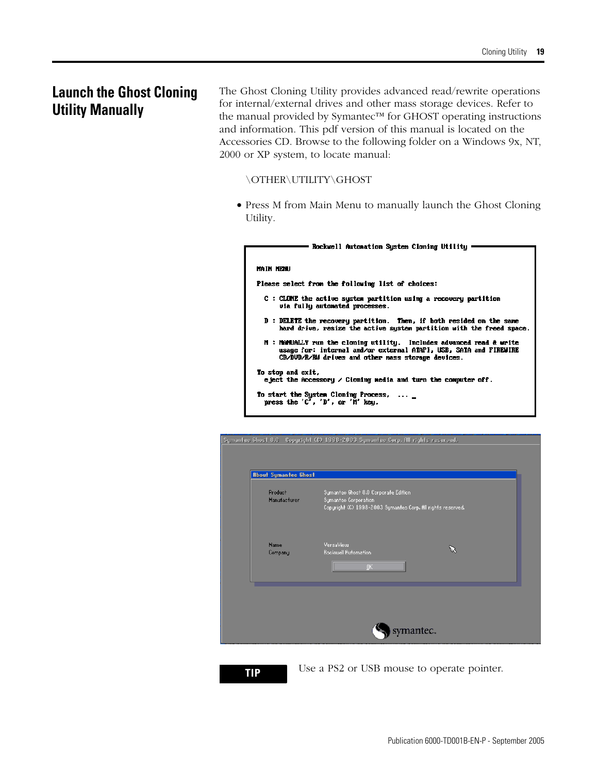# <span id="page-18-0"></span>**Launch the Ghost Cloning Utility Manually**

The Ghost Cloning Utility provides advanced read/rewrite operations for internal/external drives and other mass storage devices. Refer to the manual provided by Symantec™ for GHOST operating instructions and information. This pdf version of this manual is located on the Accessories CD. Browse to the following folder on a Windows 9x, NT, 2000 or XP system, to locate manual:

### \OTHER\UTILITY\GHOST

• Press M from Main Menu to manually launch the Ghost Cloning Utility.

| Rockwell Automation System Cloning Utility                                                                                                                                                      |
|-------------------------------------------------------------------------------------------------------------------------------------------------------------------------------------------------|
|                                                                                                                                                                                                 |
| <b>MAIN MENU</b>                                                                                                                                                                                |
| Please select from the following list of choices:                                                                                                                                               |
| C : CLONE the active sustem partition using a recovery partition<br>via fully automated processes.                                                                                              |
| D : DELETE the recovery partition. Then, if both resided on the same<br>hard drive, resize the active system partition with the freed space.                                                    |
| N : Manually run the cloning utility. Includes advanced read & write<br>usage for: internal and/or external ATAPI, USB, SATA and FIREWIRE<br>CD/DUD/R/RM drives and other mass storage devices. |
| To stop and exit,<br>eject the Accessory $\angle$ Cloming media and turn the computer off.                                                                                                      |
| To start the System Cloning Process, _<br>press the $'C'$ , $'D'$ , or $'H'$ key.                                                                                                               |

| <b>About Symantec Ghost</b> |                                                                                                                             |
|-----------------------------|-----------------------------------------------------------------------------------------------------------------------------|
| Product<br>Manufacturer     | Symantee Ghost 8.0 Corporate Edition<br>Symanteo Corporation<br>Copyright (C) 1998-2003 Symanted Corp. All rights reserved. |
| <b>Name</b><br>Company      | VersaViem<br>V.<br><b>Rockwell Rutomation</b><br>ŪΚ.                                                                        |
|                             |                                                                                                                             |

**TIP** Use a PS2 or USB mouse to operate pointer.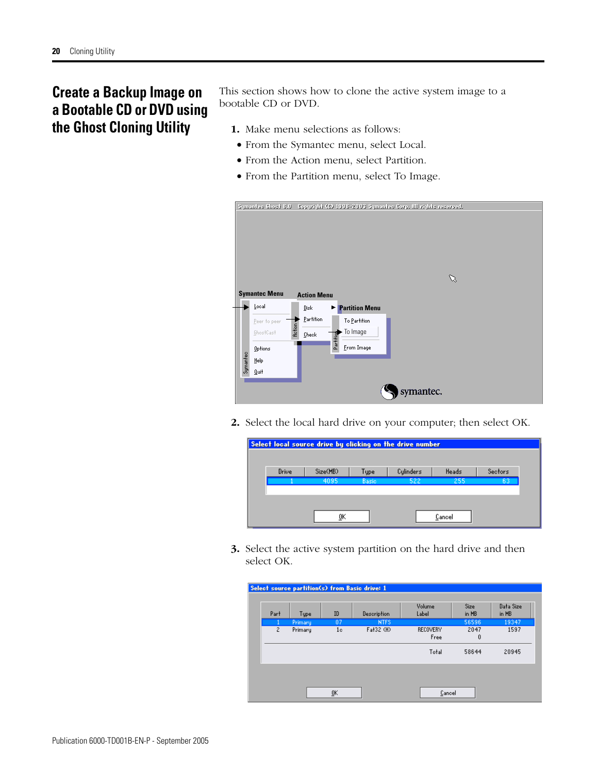# <span id="page-19-0"></span>**Create a Backup Image on a Bootable CD or DVD using the Ghost Cloning Utility**

This section shows how to clone the active system image to a bootable CD or DVD.

- **1.** Make menu selections as follows:
- From the Symantec menu, select Local.
- From the Action menu, select Partition.
- From the Partition menu, select To Image.

|          | <b>U.S teads extanged</b> |         |                    |           | Copyright (C) 1998-2003 Symantes Corp. Ill rights reserved. |
|----------|---------------------------|---------|--------------------|-----------|-------------------------------------------------------------|
|          |                           |         |                    |           |                                                             |
|          |                           |         |                    |           |                                                             |
|          |                           |         |                    |           |                                                             |
|          |                           |         |                    |           |                                                             |
|          |                           |         |                    |           |                                                             |
|          |                           |         |                    |           |                                                             |
|          |                           |         |                    |           | ℅                                                           |
|          | <b>Symantec Menu</b>      |         | <b>Action Menu</b> |           |                                                             |
|          |                           |         |                    |           |                                                             |
|          | Local                     |         | Disk               | e.        | <b>Partition Menu</b>                                       |
|          | Peer to peer              |         | Partition          |           | To Partition                                                |
|          | GhostCast                 | Action, | Check              |           | To Image                                                    |
|          |                           |         |                    | Partition |                                                             |
|          | Options                   |         |                    |           | From Image                                                  |
| Symantec | Help                      |         |                    |           |                                                             |
|          | Quit                      |         |                    |           |                                                             |
|          |                           |         |                    |           |                                                             |
|          |                           |         |                    |           | symantec.                                                   |
|          |                           |         |                    |           |                                                             |

**2.** Select the local hard drive on your computer; then select OK.

| Select local source drive by clicking on the drive number |          |              |           |        |         |
|-----------------------------------------------------------|----------|--------------|-----------|--------|---------|
| Drive                                                     | Size(MB) | Type         | Culinders | Heads  | Sectors |
|                                                           | 4095     | <b>Basic</b> | 522       | 255    | 63      |
|                                                           |          |              |           |        |         |
|                                                           | 0K       |              |           | Cancel |         |

**3.** Select the active system partition on the hard drive and then select OK.

| Select source partition(s) from Basic drive: 1 |         |                 |             |                         |               |                    |  |
|------------------------------------------------|---------|-----------------|-------------|-------------------------|---------------|--------------------|--|
|                                                |         |                 |             |                         |               |                    |  |
| Part                                           | Type    | ID              | Description | Volume<br>Label         | Size<br>in MB | Data Size<br>in MB |  |
|                                                | Primary | $\overline{07}$ | <b>NTFS</b> |                         | 56596         | 19347              |  |
| $\mathbf{2}$                                   | Primary | 1 <sub>c</sub>  | Fat32 (H)   | <b>RECOVERY</b><br>Free | 2047<br>0     | 1597               |  |
|                                                |         |                 |             | Total                   | 58644         | 20945              |  |
|                                                |         |                 |             |                         |               |                    |  |
|                                                |         | ŪΚ              |             | Cancel                  |               |                    |  |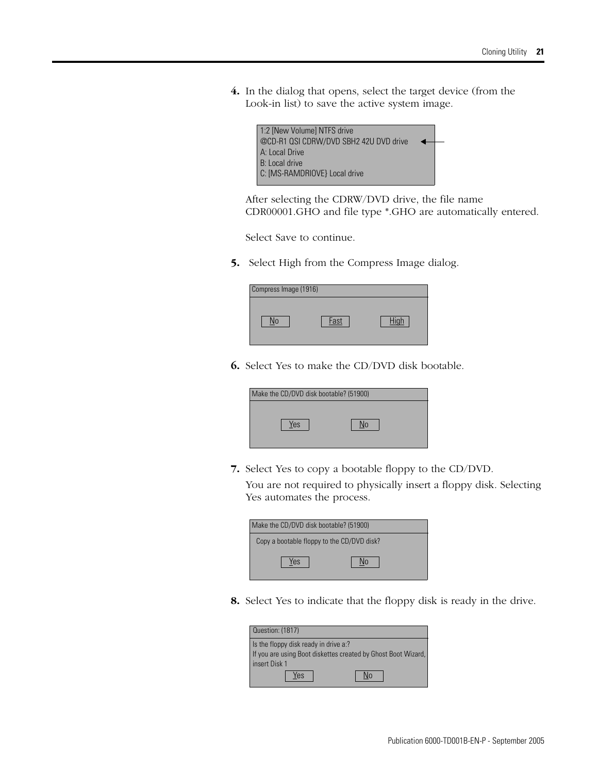**4.** In the dialog that opens, select the target device (from the Look-in list) to save the active system image.



After selecting the CDRW/DVD drive, the file name CDR00001.GHO and file type \*.GHO are automatically entered.

Select Save to continue.

**5.** Select High from the Compress Image dialog.

| Compress Image (1916) |      |  |
|-----------------------|------|--|
|                       | Fast |  |

**6.** Select Yes to make the CD/DVD disk bootable.

| Make the CD/DVD disk bootable? (51900) |  |
|----------------------------------------|--|
| Yes                                    |  |

**7.** Select Yes to copy a bootable floppy to the CD/DVD.

You are not required to physically insert a floppy disk. Selecting Yes automates the process.

| Make the CD/DVD disk bootable? (51900)     |  |
|--------------------------------------------|--|
| Copy a bootable floppy to the CD/DVD disk? |  |
| Yes                                        |  |

**8.** Select Yes to indicate that the floppy disk is ready in the drive.

| Question: (1817)                                              |
|---------------------------------------------------------------|
| Is the floppy disk ready in drive a:?                         |
| If you are using Boot diskettes created by Ghost Boot Wizard, |
| insert Disk 1                                                 |
| ΈS.                                                           |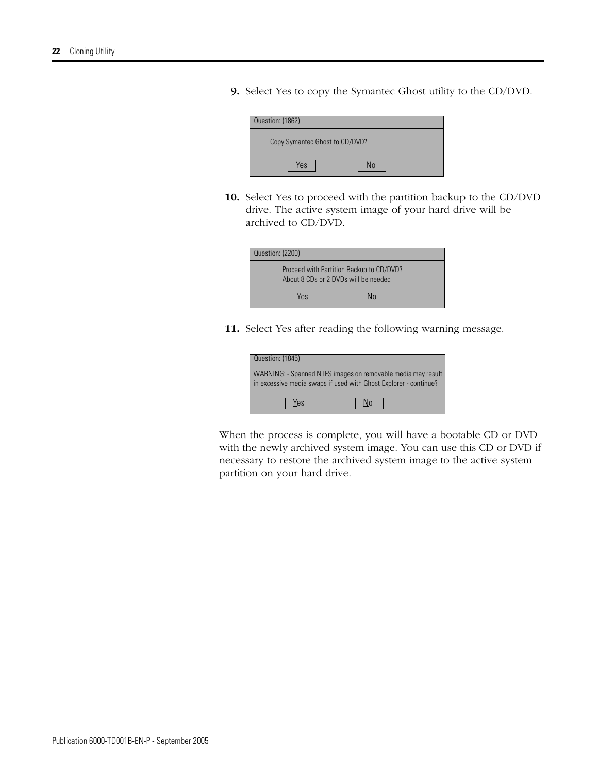**9.** Select Yes to copy the Symantec Ghost utility to the CD/DVD.

| Question: (1862).              |
|--------------------------------|
| Copy Symantec Ghost to CD/DVD? |
| Yes                            |

**10.** Select Yes to proceed with the partition backup to the CD/DVD drive. The active system image of your hard drive will be archived to CD/DVD.

| Question: (2200)                                                                 |  |
|----------------------------------------------------------------------------------|--|
| Proceed with Partition Backup to CD/DVD?<br>About 8 CDs or 2 DVDs will be needed |  |
| Yes                                                                              |  |

**11.** Select Yes after reading the following warning message.

| Question: (1845)                                                                                                                 |  |
|----------------------------------------------------------------------------------------------------------------------------------|--|
| WARNING: - Spanned NTFS images on removable media may result<br>in excessive media swaps if used with Ghost Explorer - continue? |  |
| Yes                                                                                                                              |  |

When the process is complete, you will have a bootable CD or DVD with the newly archived system image. You can use this CD or DVD if necessary to restore the archived system image to the active system partition on your hard drive.